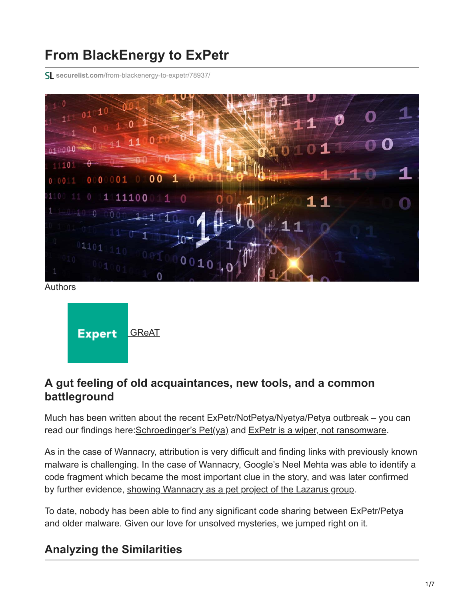# **From BlackEnergy to ExPetr**

**securelist.com**[/from-blackenergy-to-expetr/78937/](https://securelist.com/from-blackenergy-to-expetr/78937/)





## **A gut feeling of old acquaintances, new tools, and a common battleground**

Much has been written about the recent ExPetr/NotPetya/Nyetya/Petya outbreak – you can read our findings here: [Schroedinger's Pet\(ya\)](https://securelist.com/schroedingers-petya/78870/) and [ExPetr is a wiper, not ransomware](https://securelist.com/expetrpetyanotpetya-is-a-wiper-not-ransomware/78902/).

As in the case of Wannacry, attribution is very difficult and finding links with previously known malware is challenging. In the case of Wannacry, Google's Neel Mehta was able to identify a code fragment which became the most important clue in the story, and was later confirmed by further evidence, [showing Wannacry as a pet project of the Lazarus group](https://securelist.com/wannacry-and-lazarus-group-the-missing-link/78431/).

To date, nobody has been able to find any significant code sharing between ExPetr/Petya and older malware. Given our love for unsolved mysteries, we jumped right on it.

## **Analyzing the Similarities**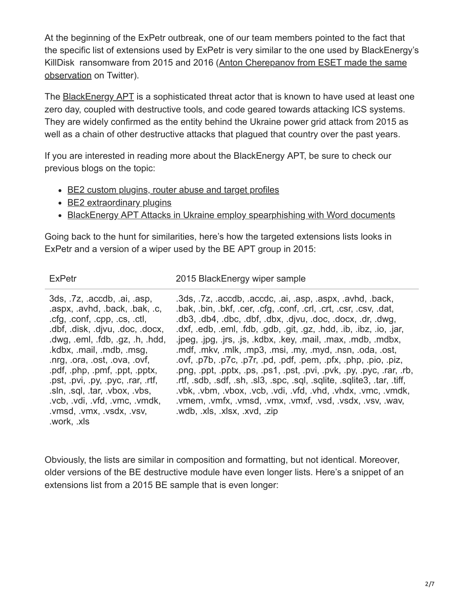At the beginning of the ExPetr outbreak, one of our team members pointed to the fact that the specific list of extensions used by ExPetr is very similar to the one used by BlackEnergy's [KillDisk ransomware from 2015 and 2016 \(Anton Cherepanov from ESET made the same](https://twitter.com/cherepanov74/status/879789032401719296) observation on Twitter).

The [BlackEnergy APT](https://securelist.com/blackenergy-apt-attacks-in-ukraine-employ-spearphishing-with-word-documents/73440/) is a sophisticated threat actor that is known to have used at least one zero day, coupled with destructive tools, and code geared towards attacking ICS systems. They are widely confirmed as the entity behind the Ukraine power grid attack from 2015 as well as a chain of other destructive attacks that plagued that country over the past years.

If you are interested in reading more about the BlackEnergy APT, be sure to check our previous blogs on the topic:

- [BE2 custom plugins, router abuse and target profiles](https://securelist.com/be2-custom-plugins-router-abuse-and-target-profiles/67353/)
- [BE2 extraordinary plugins](https://securelist.com/be2-extraordinary-plugins-siemens-targeting-dev-fails/68838/)
- [BlackEnergy APT Attacks in Ukraine employ spearphishing with Word documents](https://securelist.com/blackenergy-apt-attacks-in-ukraine-employ-spearphishing-with-word-documents/73440/)

Going back to the hunt for similarities, here's how the targeted extensions lists looks in ExPetr and a version of a wiper used by the BE APT group in 2015:

ExPetr 2015 BlackEnergy wiper sample

| 3ds, 7z, accdb, ai, asp,           | .3ds, .7z, .accdb, .accdc, .ai, .asp, .aspx, .avhd, .back,     |
|------------------------------------|----------------------------------------------------------------|
| .aspx, .avhd, .back, .bak, .c,     | .bak, bin, bkf, cer, cfg, conf, crl, crt, csr, csv, dat,       |
| .cfg, .conf, .cpp, .cs, .ctl,      | .db3, .db4, .dbc, .dbf, .dbx, .djvu, .doc, .docx, .dr, .dwg,   |
| .dbf, .disk, .djvu, .doc, .docx,   | .dxf, edb, eml, fdb, gdb, git, gz, hdd, ib, ibz, io, jar,      |
| .dwg, .eml, .fdb, .gz, .h, .hdd,   | .jpeg, .jpg, .jrs, .js, .kdbx, .key, .mail, .max, .mdb, .mdbx, |
| .kdbx, .mail, .mdb, .msg,          | .mdf, .mkv, .mlk, .mp3, .msi, .my, .myd, .nsn, .oda, .ost,     |
| .nrg, .ora, .ost, .ova, .ovf,      | ovf, p7b, p7c, p7r, pd, pdf, pem, pfx, php, pio, piz,          |
| .pdf, .php, .pmf, .ppt, .pptx,     | png, ppt, pptx, ps, ps1, pst, pvi, pvk, py, pyc, rar, rb,      |
| .pst, .pvi, .py, .pyc, .rar, .rtf, | rtf, sdb, sdf, sh, sl3, spc, sql, sqlite, sqlite3, tar, tiff,  |
| .sln, sql, .tar, .vbox, .vbs,      | .vbk, vbm, vbox, vcb, vdi, vfd, vhd, vhdx, vmc, vmdk,          |
| .vcb, vdi, vfd, vmc, vmdk,         | .vmem, .vmfx, .vmsd, .vmx, .vmxf, .vsd, .vsdx, .vsv, .wav,     |
| .vmsd, .vmx, .vsdx, .vsv,          | .wdb, .xls, .xlsx, .xvd, .zip                                  |
| .work, .xls                        |                                                                |

Obviously, the lists are similar in composition and formatting, but not identical. Moreover, older versions of the BE destructive module have even longer lists. Here's a snippet of an extensions list from a 2015 BE sample that is even longer: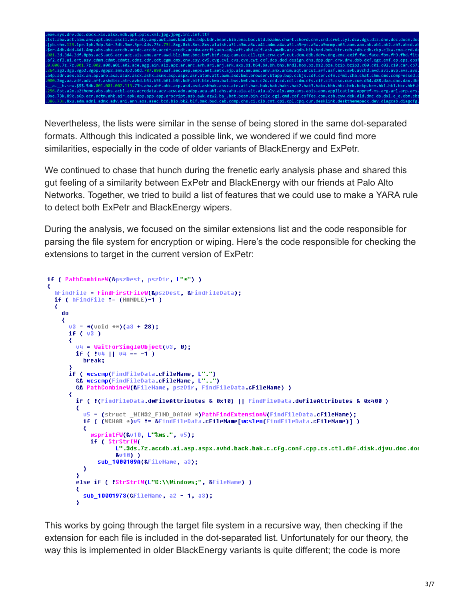

Nevertheless, the lists were similar in the sense of being stored in the same dot-separated formats. Although this indicated a possible link, we wondered if we could find more similarities, especially in the code of older variants of BlackEnergy and ExPetr.

We continued to chase that hunch during the frenetic early analysis phase and shared this gut feeling of a similarity between ExPetr and BlackEnergy with our friends at Palo Alto Networks. Together, we tried to build a list of features that we could use to make a YARA rule to detect both ExPetr and BlackEnergy wipers.

During the analysis, we focused on the similar extensions list and the code responsible for parsing the file system for encryption or wiping. Here's the code responsible for checking the extensions to target in the current version of ExPetr:

```
if ( PathCombineW(&pszDest, pszDir, L"*") )
 hFindFile = FindFirstFileW(&pszDest, &FindFileData);
 if ( hFindFile f = (HANDLE)-1 )
  ₹
   do
     03 = *(void **)(a3 + 28);
     if (v3)κ.
       v4 = WaitForSingleObject(v3, 0);if (104 \mid 04 = -1)break;
     if ( wcscmp(FindFileData.cFileName, L".")
       && wcscmp(FindFileData cFileName, L"..")
       && PathCombineW(&FileName, pszDir, FindFileData.cFileName) )
     ₹
       if ( !(FindFileData.dwFileAttributes & 0x10) || FindFileData.dwFileAttributes & 0x400 )
         u5 = (struct _WIN32_FIND_DATAW *)PathFindExtensionW(FindFileData.cFileName);
         ₹
           wsprintfW(&v10, L"%ws.", v5);
           if ( StrStrIW(
                 L".3ds.7z.accdb.ai.asp.aspx.avhd.back.bak.c.cfg.conf.cpp.cs.ctl.dbf.disk.djvu.doc.doc
                 8010) )
             sub_1000189A(&FileName, a3);
         \mathcal{Y}else if ( !StrStrIW(L"C:\\Windows;", &FileName) )
         sub_10001973(&FileName, a2 - 1, a3);
       ¥
```
This works by going through the target file system in a recursive way, then checking if the extension for each file is included in the dot-separated list. Unfortunately for our theory, the way this is implemented in older BlackEnergy variants is quite different; the code is more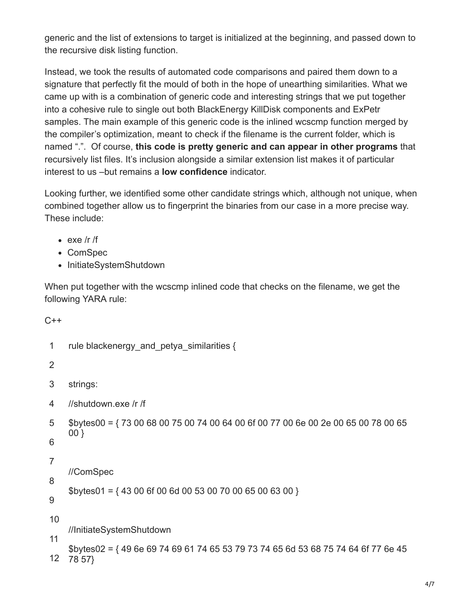generic and the list of extensions to target is initialized at the beginning, and passed down to the recursive disk listing function.

Instead, we took the results of automated code comparisons and paired them down to a signature that perfectly fit the mould of both in the hope of unearthing similarities. What we came up with is a combination of generic code and interesting strings that we put together into a cohesive rule to single out both BlackEnergy KillDisk components and ExPetr samples. The main example of this generic code is the inlined wcscmp function merged by the compiler's optimization, meant to check if the filename is the current folder, which is named ".". Of course, **this code is pretty generic and can appear in other programs** that recursively list files. It's inclusion alongside a similar extension list makes it of particular interest to us –but remains a **low confidence** indicator.

Looking further, we identified some other candidate strings which, although not unique, when combined together allow us to fingerprint the binaries from our case in a more precise way. These include:

- $\cdot$  exe /r /f
- ComSpec
- InitiateSystemShutdown

When put together with the wcscmp inlined code that checks on the filename, we get the following YARA rule:

```
C++
```

```
1
2
3
4
5
6
7
8
9
10
11
12
78 57}rule blackenergy and petya similarities {
    strings:
    //shutdown.exe /r /f
    $bytes00 = { 73 00 68 00 75 00 74 00 64 00 6f 00 77 00 6e 00 2e 00 65 00 78 00 65
    00 }
    //ComSpec
    $bytes01 = { 43 00 6f 00 6d 00 53 00 70 00 65 00 63 00 }//InitiateSystemShutdown
    $bytes02 = { 49 6e 69 74 69 61 74 65 53 79 73 74 65 6d 53 68 75 74 64 6f 77 6e 45
```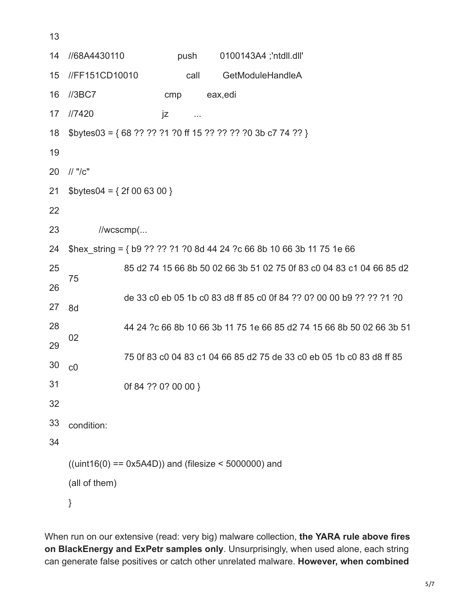| 14 | //68A4430110                                                           |                                                                      | push     | 0100143A4 ;'ntdll.dll'                                               |  |  |  |
|----|------------------------------------------------------------------------|----------------------------------------------------------------------|----------|----------------------------------------------------------------------|--|--|--|
| 15 | //FF151CD10010                                                         |                                                                      | call     | GetModuleHandleA                                                     |  |  |  |
| 16 | I/3BC7                                                                 | cmp                                                                  |          | eax, edi                                                             |  |  |  |
| 17 | //7420                                                                 | jz                                                                   | $\cdots$ |                                                                      |  |  |  |
| 18 | \$bytes03 = {68 ?? ?? ?1 ?0 ff 15 ?? ?? ?? ?0 3b c7 74 ?? }            |                                                                      |          |                                                                      |  |  |  |
| 19 |                                                                        |                                                                      |          |                                                                      |  |  |  |
| 20 | $\frac{1}{2}$ "/c"                                                     |                                                                      |          |                                                                      |  |  |  |
| 21 | $$bytes04 = { 2f 00 63 00 }$                                           |                                                                      |          |                                                                      |  |  |  |
| 22 |                                                                        |                                                                      |          |                                                                      |  |  |  |
| 23 |                                                                        | $//$ wcscmp $($                                                      |          |                                                                      |  |  |  |
| 24 | \$hex_string = { b9 ?? ?? ?1 ?0 8d 44 24 ?c 66 8b 10 66 3b 11 75 1e 66 |                                                                      |          |                                                                      |  |  |  |
| 25 |                                                                        | 85 d2 74 15 66 8b 50 02 66 3b 51 02 75 0f 83 c0 04 83 c1 04 66 85 d2 |          |                                                                      |  |  |  |
| 26 | 75                                                                     |                                                                      |          |                                                                      |  |  |  |
| 27 | 8d                                                                     |                                                                      |          | de 33 c0 eb 05 1b c0 83 d8 ff 85 c0 0f 84 ?? 0? 00 00 b9 ?? ?? ?1 ?0 |  |  |  |
| 28 |                                                                        | 44 24 ?c 66 8b 10 66 3b 11 75 1e 66 85 d2 74 15 66 8b 50 02 66 3b 51 |          |                                                                      |  |  |  |
| 29 | 02                                                                     |                                                                      |          |                                                                      |  |  |  |
| 30 | C <sub>0</sub>                                                         |                                                                      |          | 75 0f 83 c0 04 83 c1 04 66 85 d2 75 de 33 c0 eb 05 1b c0 83 d8 ff 85 |  |  |  |
| 31 |                                                                        | Of 84 ?? 0? 00 00 }                                                  |          |                                                                      |  |  |  |
| 32 |                                                                        |                                                                      |          |                                                                      |  |  |  |
| 33 | condition:                                                             |                                                                      |          |                                                                      |  |  |  |
| 34 |                                                                        |                                                                      |          |                                                                      |  |  |  |
|    | $((uint16(0) == 0x5A4D))$ and (filesize < 5000000) and                 |                                                                      |          |                                                                      |  |  |  |
|    | (all of them)                                                          |                                                                      |          |                                                                      |  |  |  |
|    | }                                                                      |                                                                      |          |                                                                      |  |  |  |
|    |                                                                        |                                                                      |          |                                                                      |  |  |  |

13

When run on our extensive (read: very big) malware collection, **the YARA rule above fires on BlackEnergy and ExPetr samples only**. Unsurprisingly, when used alone, each string can generate false positives or catch other unrelated malware. **However, when combined**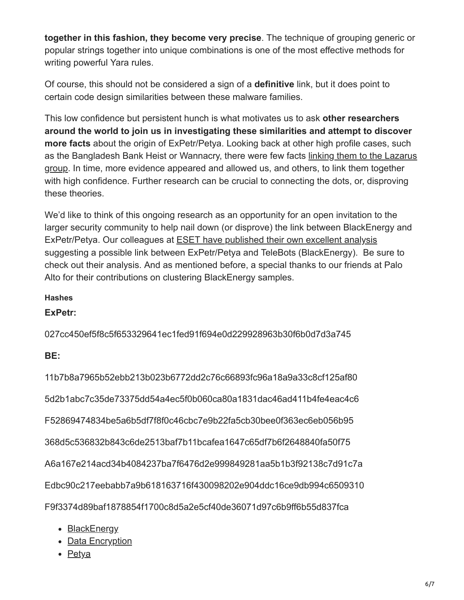**together in this fashion, they become very precise**. The technique of grouping generic or popular strings together into unique combinations is one of the most effective methods for writing powerful Yara rules.

Of course, this should not be considered a sign of a **definitive** link, but it does point to certain code design similarities between these malware families.

This low confidence but persistent hunch is what motivates us to ask **other researchers around the world to join us in investigating these similarities and attempt to discover more facts** about the origin of ExPetr/Petya. Looking back at other high profile cases, such [as the Bangladesh Bank Heist or Wannacry, there were few facts linking them to the Lazarus](https://baesystemsai.blogspot.ro/2016/05/cyber-heist-attribution.html) group. In time, more evidence appeared and allowed us, and others, to link them together with high confidence. Further research can be crucial to connecting the dots, or, disproving these theories.

We'd like to think of this ongoing research as an opportunity for an open invitation to the larger security community to help nail down (or disprove) the link between BlackEnergy and ExPetr/Petya. Our colleagues at [ESET have published their own excellent analysis](https://www.welivesecurity.com/2017/06/30/telebots-back-supply-chain-attacks-against-ukraine/) suggesting a possible link between ExPetr/Petya and TeleBots (BlackEnergy). Be sure to check out their analysis. And as mentioned before, a special thanks to our friends at Palo Alto for their contributions on clustering BlackEnergy samples.

### **Hashes**

**ExPetr:**

027cc450ef5f8c5f653329641ec1fed91f694e0d229928963b30f6b0d7d3a745

### **BE:**

11b7b8a7965b52ebb213b023b6772dd2c76c66893fc96a18a9a33c8cf125af80

5d2b1abc7c35de73375dd54a4ec5f0b060ca80a1831dac46ad411b4fe4eac4c6

F52869474834be5a6b5df7f8f0c46cbc7e9b22fa5cb30bee0f363ec6eb056b95

368d5c536832b843c6de2513baf7b11bcafea1647c65df7b6f2648840fa50f75

A6a167e214acd34b4084237ba7f6476d2e999849281aa5b1b3f92138c7d91c7a

Edbc90c217eebabb7a9b618163716f430098202e904ddc16ce9db994c6509310

F9f3374d89baf1878854f1700c8d5a2e5cf40de36071d97c6b9ff6b55d837fca

- [BlackEnergy](https://securelist.com/tag/blackenergy/)
- [Data Encryption](https://securelist.com/tag/data-encryption/)
- [Petya](https://securelist.com/tag/petya/)